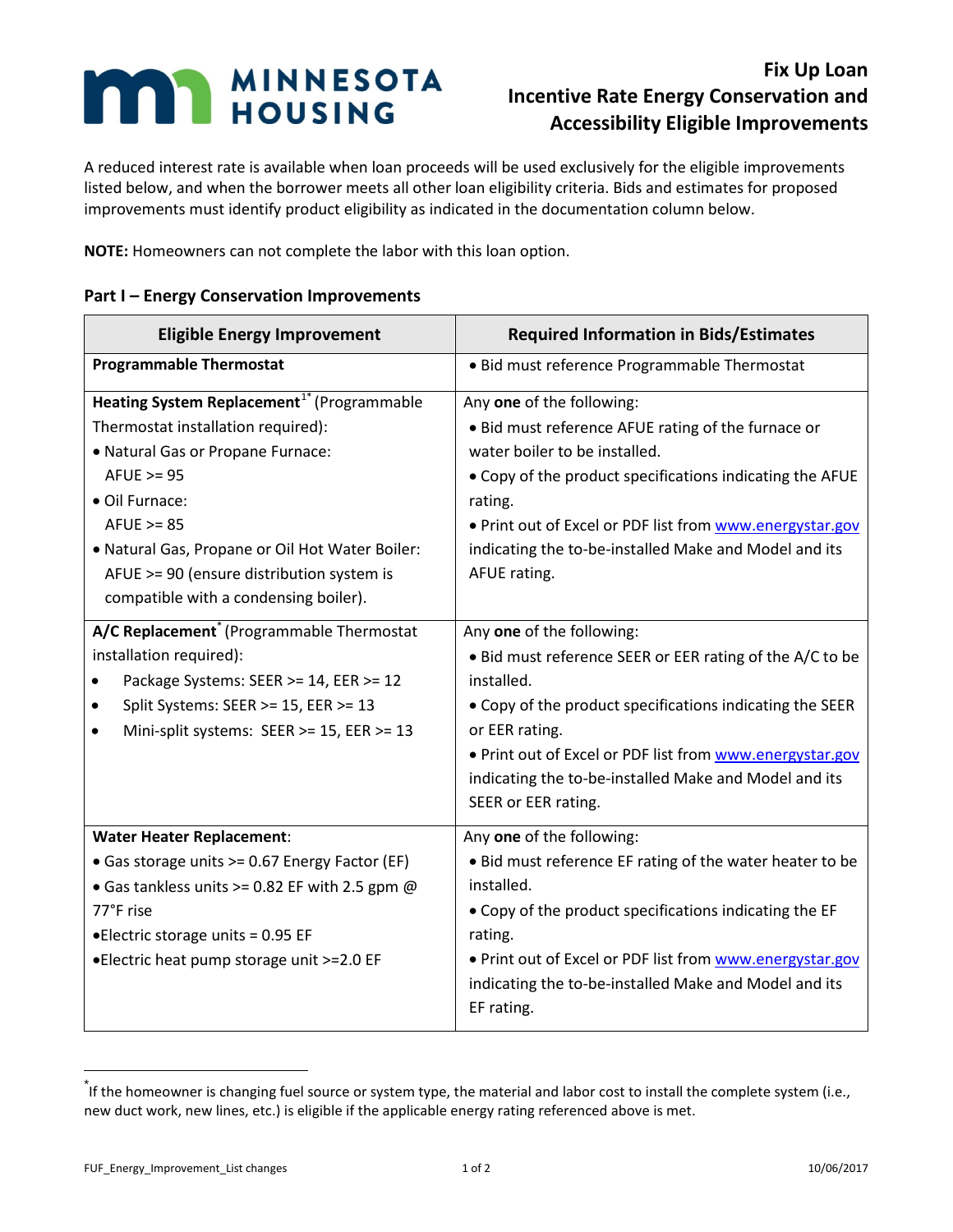## **MAN MINNESOTA**

## **Fix Up Loan Incentive Rate Energy Conservation and Accessibility Eligible Improvements**

A reduced interest rate is available when loan proceeds will be used exclusively for the eligible improvements listed below, and when the borrower meets all other loan eligibility criteria. Bids and estimates for proposed improvements must identify product eligibility as indicated in the documentation column below.

**NOTE:** Homeowners can not complete the labor with this loan option.

## **Part I – Energy Conservation Improvements**

| <b>Eligible Energy Improvement</b>                                                                                                                                                                                                                                                                                             | <b>Required Information in Bids/Estimates</b>                                                                                                                                                                                                                                                                                 |
|--------------------------------------------------------------------------------------------------------------------------------------------------------------------------------------------------------------------------------------------------------------------------------------------------------------------------------|-------------------------------------------------------------------------------------------------------------------------------------------------------------------------------------------------------------------------------------------------------------------------------------------------------------------------------|
| <b>Programmable Thermostat</b>                                                                                                                                                                                                                                                                                                 | • Bid must reference Programmable Thermostat                                                                                                                                                                                                                                                                                  |
| Heating System Replacement <sup>1*</sup> (Programmable<br>Thermostat installation required):<br>• Natural Gas or Propane Furnace:<br>$AFUE \ge 95$<br>· Oil Furnace:<br>$AFUE \ge 85$<br>. Natural Gas, Propane or Oil Hot Water Boiler:<br>AFUE >= 90 (ensure distribution system is<br>compatible with a condensing boiler). | Any one of the following:<br>• Bid must reference AFUE rating of the furnace or<br>water boiler to be installed.<br>. Copy of the product specifications indicating the AFUE<br>rating.<br>. Print out of Excel or PDF list from www.energystar.gov<br>indicating the to-be-installed Make and Model and its<br>AFUE rating.  |
| A/C Replacement <sup>*</sup> (Programmable Thermostat<br>installation required):<br>Package Systems: SEER >= 14, EER >= 12<br>Split Systems: SEER >= 15, EER >= 13<br>Mini-split systems: SEER >= 15, EER >= 13<br>$\bullet$                                                                                                   | Any one of the following:<br>• Bid must reference SEER or EER rating of the A/C to be<br>installed.<br>• Copy of the product specifications indicating the SEER<br>or EER rating.<br>. Print out of Excel or PDF list from www.energystar.gov<br>indicating the to-be-installed Make and Model and its<br>SEER or EER rating. |
| <b>Water Heater Replacement:</b><br>• Gas storage units >= 0.67 Energy Factor (EF)<br>• Gas tankless units >= 0.82 EF with 2.5 gpm @<br>77°F rise<br>• Electric storage units = 0.95 EF<br>•Electric heat pump storage unit >=2.0 EF                                                                                           | Any one of the following:<br>· Bid must reference EF rating of the water heater to be<br>installed.<br>. Copy of the product specifications indicating the EF<br>rating.<br>. Print out of Excel or PDF list from www.energystar.gov<br>indicating the to-be-installed Make and Model and its<br>EF rating.                   |

<span id="page-0-0"></span> <sup>\*</sup> If the homeowner is changing fuel source or system type, the material and labor cost to install the complete system (i.e., new duct work, new lines, etc.) is eligible if the applicable energy rating referenced above is met.

FUF\_Energy\_Improvement\_List changes 1 of 2 10/06/2017